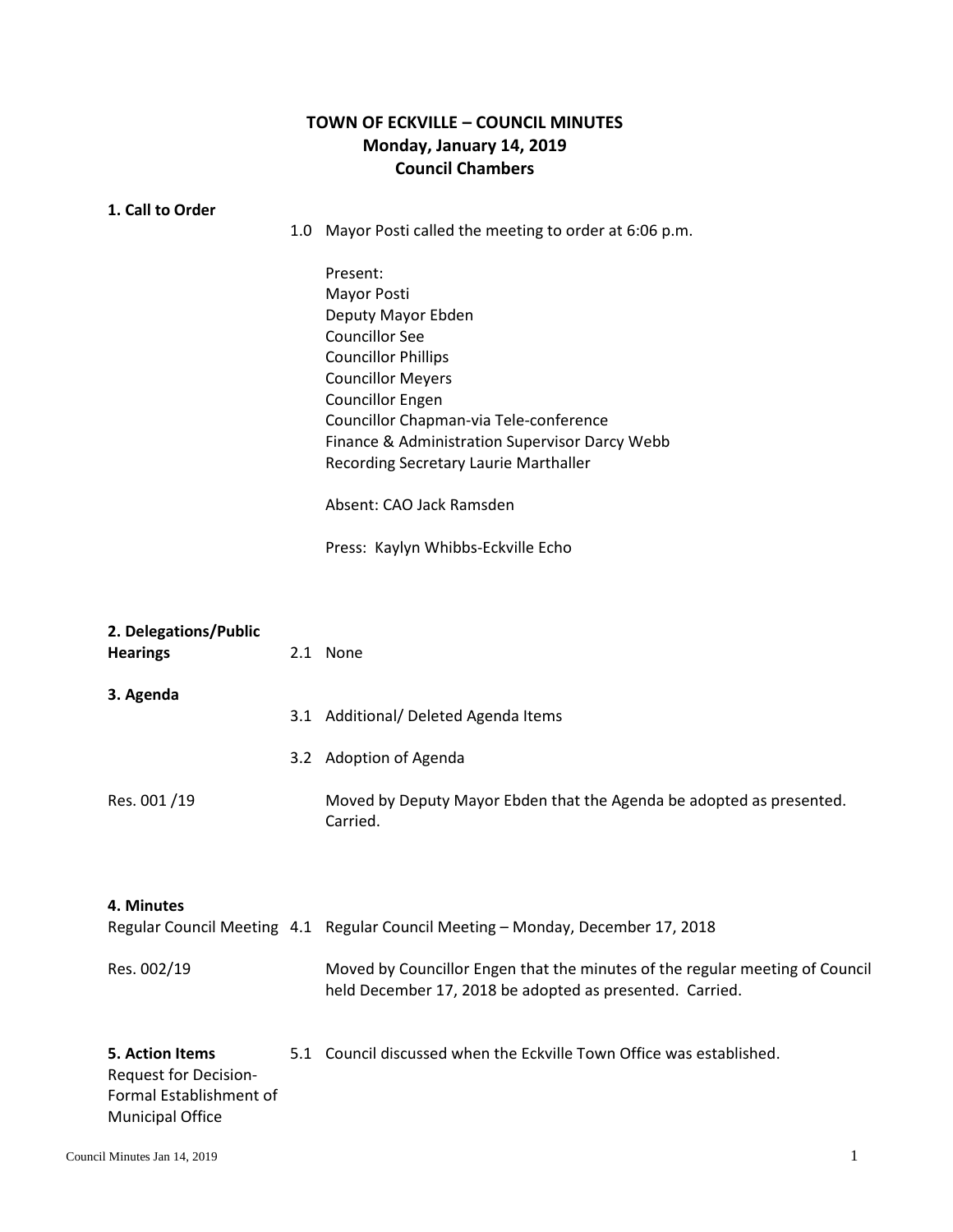## **TOWN OF ECKVILLE – COUNCIL MINUTES Monday, January 14, 2019 Council Chambers**

## **1. 1. Call to Order**

1.0 Mayor Posti called the meeting to order at 6:06 p.m.

Present: Mayor Posti Deputy Mayor Ebden Councillor See Councillor Phillips Councillor Meyers Councillor Engen Councillor Chapman-via Tele-conference Finance & Administration Supervisor Darcy Webb Recording Secretary Laurie Marthaller

Absent: CAO Jack Ramsden

Press: Kaylyn Whibbs-Eckville Echo

| <b>Hearings</b> | 2. Delegations/Public        | 2.1 None                                                                                                                                 |
|-----------------|------------------------------|------------------------------------------------------------------------------------------------------------------------------------------|
| 3. Agenda       |                              |                                                                                                                                          |
|                 |                              | 3.1 Additional/ Deleted Agenda Items                                                                                                     |
|                 |                              | 3.2 Adoption of Agenda                                                                                                                   |
| Res. 001/19     |                              | Moved by Deputy Mayor Ebden that the Agenda be adopted as presented.<br>Carried.                                                         |
| 4. Minutes      |                              |                                                                                                                                          |
|                 |                              | Regular Council Meeting 4.1 Regular Council Meeting - Monday, December 17, 2018                                                          |
| Res. 002/19     |                              | Moved by Councillor Engen that the minutes of the regular meeting of Council<br>held December 17, 2018 be adopted as presented. Carried. |
|                 | 5. Action Items              | 5.1 Council discussed when the Eckville Town Office was established.                                                                     |
|                 | <b>Request for Decision-</b> |                                                                                                                                          |
|                 | Formal Establishment of      |                                                                                                                                          |
|                 | <b>Municipal Office</b>      |                                                                                                                                          |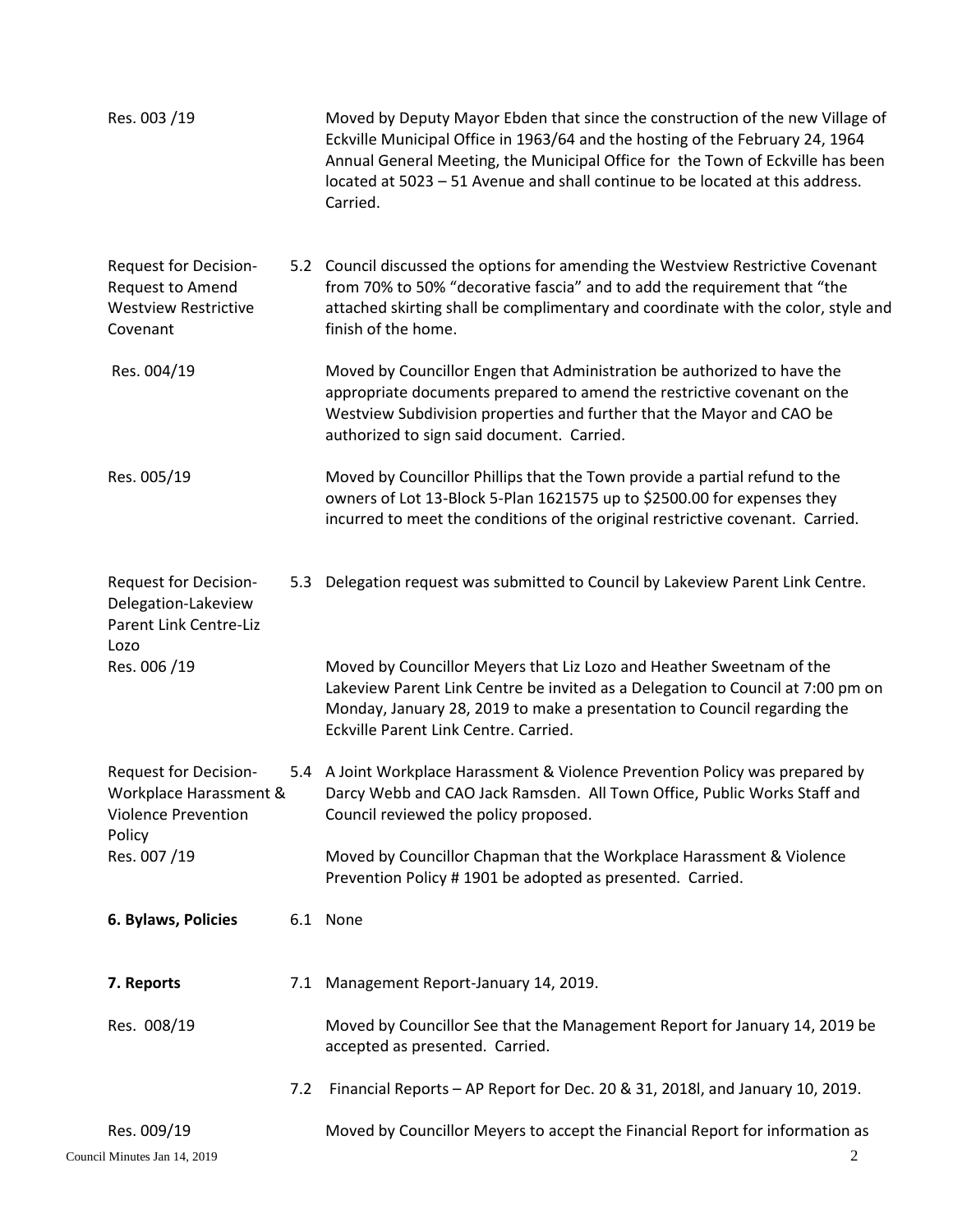| Res. 003 /19                                                                            |     | Moved by Deputy Mayor Ebden that since the construction of the new Village of<br>Eckville Municipal Office in 1963/64 and the hosting of the February 24, 1964<br>Annual General Meeting, the Municipal Office for the Town of Eckville has been<br>located at 5023 - 51 Avenue and shall continue to be located at this address.<br>Carried. |
|-----------------------------------------------------------------------------------------|-----|-----------------------------------------------------------------------------------------------------------------------------------------------------------------------------------------------------------------------------------------------------------------------------------------------------------------------------------------------|
| Request for Decision-<br>Request to Amend<br><b>Westview Restrictive</b><br>Covenant    |     | 5.2 Council discussed the options for amending the Westview Restrictive Covenant<br>from 70% to 50% "decorative fascia" and to add the requirement that "the<br>attached skirting shall be complimentary and coordinate with the color, style and<br>finish of the home.                                                                      |
| Res. 004/19                                                                             |     | Moved by Councillor Engen that Administration be authorized to have the<br>appropriate documents prepared to amend the restrictive covenant on the<br>Westview Subdivision properties and further that the Mayor and CAO be<br>authorized to sign said document. Carried.                                                                     |
| Res. 005/19                                                                             |     | Moved by Councillor Phillips that the Town provide a partial refund to the<br>owners of Lot 13-Block 5-Plan 1621575 up to \$2500.00 for expenses they<br>incurred to meet the conditions of the original restrictive covenant. Carried.                                                                                                       |
| Request for Decision-<br>Delegation-Lakeview<br><b>Parent Link Centre-Liz</b><br>Lozo   |     | 5.3 Delegation request was submitted to Council by Lakeview Parent Link Centre.                                                                                                                                                                                                                                                               |
| Res. 006 /19                                                                            |     | Moved by Councillor Meyers that Liz Lozo and Heather Sweetnam of the<br>Lakeview Parent Link Centre be invited as a Delegation to Council at 7:00 pm on<br>Monday, January 28, 2019 to make a presentation to Council regarding the<br>Eckville Parent Link Centre. Carried.                                                                  |
| Request for Decision-<br>Workplace Harassment &<br><b>Violence Prevention</b><br>Policy |     | 5.4 A Joint Workplace Harassment & Violence Prevention Policy was prepared by<br>Darcy Webb and CAO Jack Ramsden. All Town Office, Public Works Staff and<br>Council reviewed the policy proposed.                                                                                                                                            |
| Res. 007/19                                                                             |     | Moved by Councillor Chapman that the Workplace Harassment & Violence<br>Prevention Policy #1901 be adopted as presented. Carried.                                                                                                                                                                                                             |
| 6. Bylaws, Policies                                                                     |     | 6.1 None                                                                                                                                                                                                                                                                                                                                      |
| 7. Reports                                                                              |     | 7.1 Management Report-January 14, 2019.                                                                                                                                                                                                                                                                                                       |
| Res. 008/19                                                                             |     | Moved by Councillor See that the Management Report for January 14, 2019 be<br>accepted as presented. Carried.                                                                                                                                                                                                                                 |
|                                                                                         | 7.2 | Financial Reports - AP Report for Dec. 20 & 31, 2018l, and January 10, 2019.                                                                                                                                                                                                                                                                  |
| Res. 009/19                                                                             |     | Moved by Councillor Meyers to accept the Financial Report for information as                                                                                                                                                                                                                                                                  |